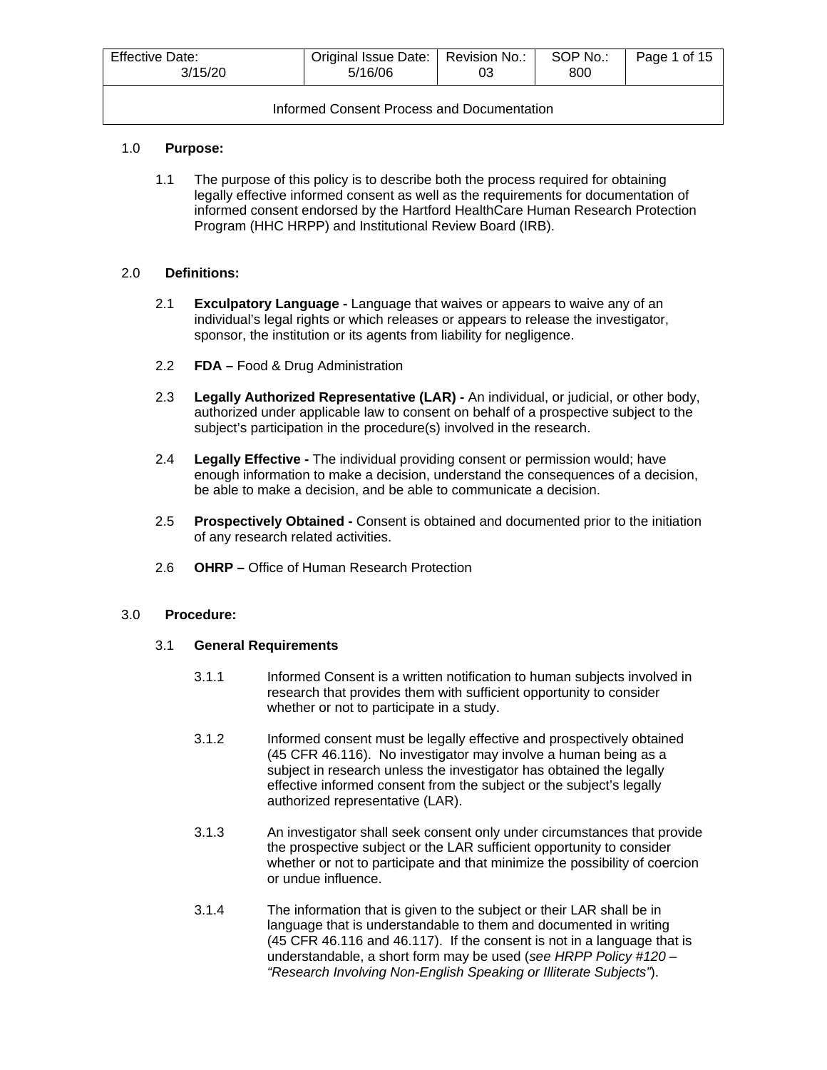| <b>Effective Date:</b><br>3/15/20          | Original Issue Date:   Revision No.:  <br>5/16/06 | 03 | SOP No.:<br>800 | Page 1 of 15 |  |  |  |  |
|--------------------------------------------|---------------------------------------------------|----|-----------------|--------------|--|--|--|--|
| Informed Consent Process and Documentation |                                                   |    |                 |              |  |  |  |  |

## 1.0 **Purpose:**

1.1 The purpose of this policy is to describe both the process required for obtaining legally effective informed consent as well as the requirements for documentation of informed consent endorsed by the Hartford HealthCare Human Research Protection Program (HHC HRPP) and Institutional Review Board (IRB).

#### 2.0 **Definitions:**

- 2.1 **Exculpatory Language -** Language that waives or appears to waive any of an individual's legal rights or which releases or appears to release the investigator, sponsor, the institution or its agents from liability for negligence.
- 2.2 **FDA –** Food & Drug Administration
- 2.3 **Legally Authorized Representative (LAR) -** An individual, or judicial, or other body, authorized under applicable law to consent on behalf of a prospective subject to the subject's participation in the procedure(s) involved in the research.
- 2.4 **Legally Effective -** The individual providing consent or permission would; have enough information to make a decision, understand the consequences of a decision, be able to make a decision, and be able to communicate a decision.
- 2.5 **Prospectively Obtained -** Consent is obtained and documented prior to the initiation of any research related activities.
- 2.6 **OHRP –** Office of Human Research Protection

#### 3.0 **Procedure:**

#### 3.1 **General Requirements**

- 3.1.1 Informed Consent is a written notification to human subjects involved in research that provides them with sufficient opportunity to consider whether or not to participate in a study.
- 3.1.2 Informed consent must be legally effective and prospectively obtained [\(45 CFR 46.116\)](http://www.hhs.gov/ohrp/humansubjects/guidance/45cfr46.htm#46.116). No investigator may involve a human being as a subject in research unless the investigator has obtained the legally effective informed consent from the subject or the subject's legally authorized representative (LAR).
- 3.1.3 An investigator shall seek consent only under circumstances that provide the prospective subject or the LAR sufficient opportunity to consider whether or not to participate and that minimize the possibility of coercion or undue influence.
- 3.1.4 The information that is given to the subject or their LAR shall be in language that is understandable to them and documented in writing (45 CFR [46.116](http://www.hhs.gov/ohrp/humansubjects/guidance/45cfr46.htm#46.116) and [46.117\)](http://www.hhs.gov/ohrp/humansubjects/guidance/45cfr46.htm#46.117). If the consent is not in a language that is understandable, a short form may be used (*see HRPP Policy #120 – "Research Involving Non-English Speaking or Illiterate Subjects"*).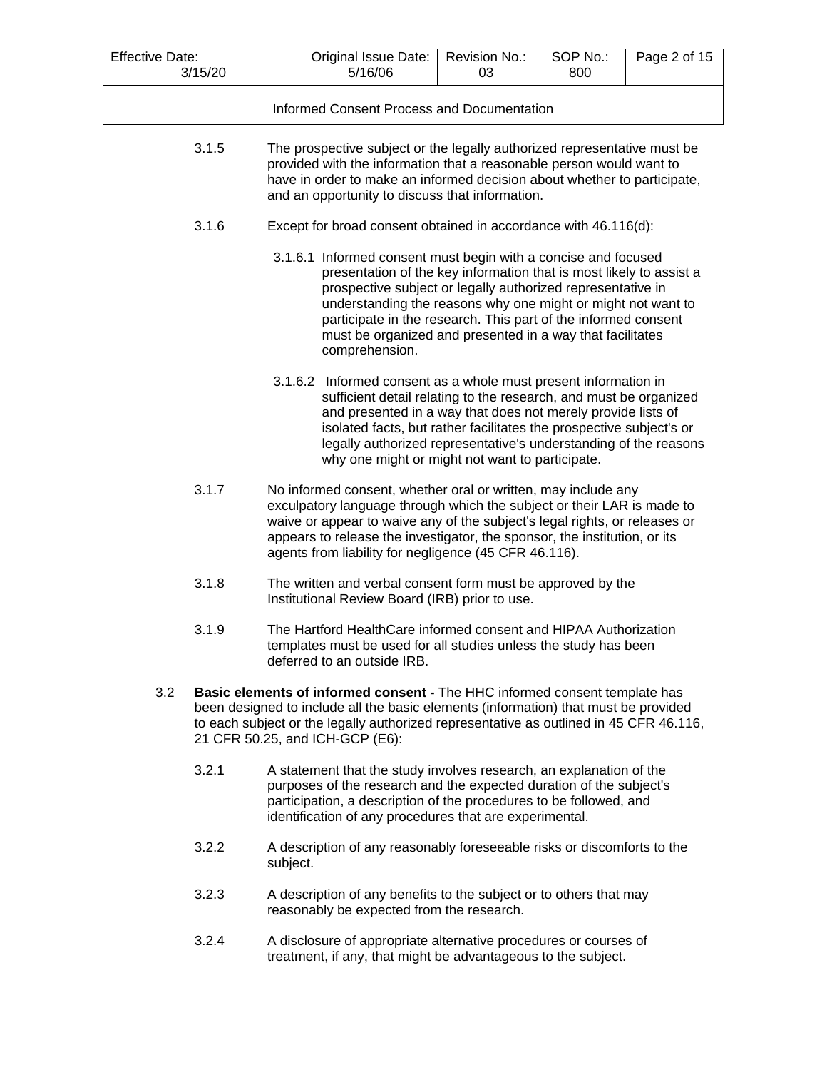| <b>Effective Date:</b>                     | 3/15/20                                                                                                                                                                                                                                                                                        |          | Original Issue Date:<br>5/16/06                                                                                                                                                                                                                                                                                                                                                                                       | Revision No.:<br>03 | SOP No.:<br>800 | Page 2 of 15 |  |  |
|--------------------------------------------|------------------------------------------------------------------------------------------------------------------------------------------------------------------------------------------------------------------------------------------------------------------------------------------------|----------|-----------------------------------------------------------------------------------------------------------------------------------------------------------------------------------------------------------------------------------------------------------------------------------------------------------------------------------------------------------------------------------------------------------------------|---------------------|-----------------|--------------|--|--|
|                                            |                                                                                                                                                                                                                                                                                                |          |                                                                                                                                                                                                                                                                                                                                                                                                                       |                     |                 |              |  |  |
| Informed Consent Process and Documentation |                                                                                                                                                                                                                                                                                                |          |                                                                                                                                                                                                                                                                                                                                                                                                                       |                     |                 |              |  |  |
|                                            | 3.1.5<br>The prospective subject or the legally authorized representative must be<br>provided with the information that a reasonable person would want to<br>have in order to make an informed decision about whether to participate,<br>and an opportunity to discuss that information.       |          |                                                                                                                                                                                                                                                                                                                                                                                                                       |                     |                 |              |  |  |
|                                            | 3.1.6                                                                                                                                                                                                                                                                                          |          | Except for broad consent obtained in accordance with 46.116(d):                                                                                                                                                                                                                                                                                                                                                       |                     |                 |              |  |  |
|                                            |                                                                                                                                                                                                                                                                                                |          | 3.1.6.1 Informed consent must begin with a concise and focused<br>presentation of the key information that is most likely to assist a<br>prospective subject or legally authorized representative in<br>understanding the reasons why one might or might not want to<br>participate in the research. This part of the informed consent<br>must be organized and presented in a way that facilitates<br>comprehension. |                     |                 |              |  |  |
|                                            |                                                                                                                                                                                                                                                                                                |          | 3.1.6.2 Informed consent as a whole must present information in<br>sufficient detail relating to the research, and must be organized<br>and presented in a way that does not merely provide lists of<br>isolated facts, but rather facilitates the prospective subject's or<br>legally authorized representative's understanding of the reasons<br>why one might or might not want to participate.                    |                     |                 |              |  |  |
|                                            | 3.1.7                                                                                                                                                                                                                                                                                          |          | No informed consent, whether oral or written, may include any<br>exculpatory language through which the subject or their LAR is made to<br>waive or appear to waive any of the subject's legal rights, or releases or<br>appears to release the investigator, the sponsor, the institution, or its<br>agents from liability for negligence (45 CFR 46.116).                                                           |                     |                 |              |  |  |
|                                            | 3.1.8                                                                                                                                                                                                                                                                                          |          | The written and verbal consent form must be approved by the<br>Institutional Review Board (IRB) prior to use.                                                                                                                                                                                                                                                                                                         |                     |                 |              |  |  |
|                                            | 3.1.9                                                                                                                                                                                                                                                                                          |          | The Hartford HealthCare informed consent and HIPAA Authorization<br>templates must be used for all studies unless the study has been<br>deferred to an outside IRB.                                                                                                                                                                                                                                                   |                     |                 |              |  |  |
| 3.2                                        | Basic elements of informed consent - The HHC informed consent template has<br>been designed to include all the basic elements (information) that must be provided<br>to each subject or the legally authorized representative as outlined in 45 CFR 46.116,<br>21 CFR 50.25, and ICH-GCP (E6): |          |                                                                                                                                                                                                                                                                                                                                                                                                                       |                     |                 |              |  |  |
|                                            | 3.2.1                                                                                                                                                                                                                                                                                          |          | A statement that the study involves research, an explanation of the<br>purposes of the research and the expected duration of the subject's<br>participation, a description of the procedures to be followed, and<br>identification of any procedures that are experimental.                                                                                                                                           |                     |                 |              |  |  |
|                                            | 3.2.2                                                                                                                                                                                                                                                                                          | subject. | A description of any reasonably foreseeable risks or discomforts to the                                                                                                                                                                                                                                                                                                                                               |                     |                 |              |  |  |
|                                            | 3.2.3                                                                                                                                                                                                                                                                                          |          | A description of any benefits to the subject or to others that may<br>reasonably be expected from the research.                                                                                                                                                                                                                                                                                                       |                     |                 |              |  |  |

3.2.4 A disclosure of appropriate alternative procedures or courses of treatment, if any, that might be advantageous to the subject.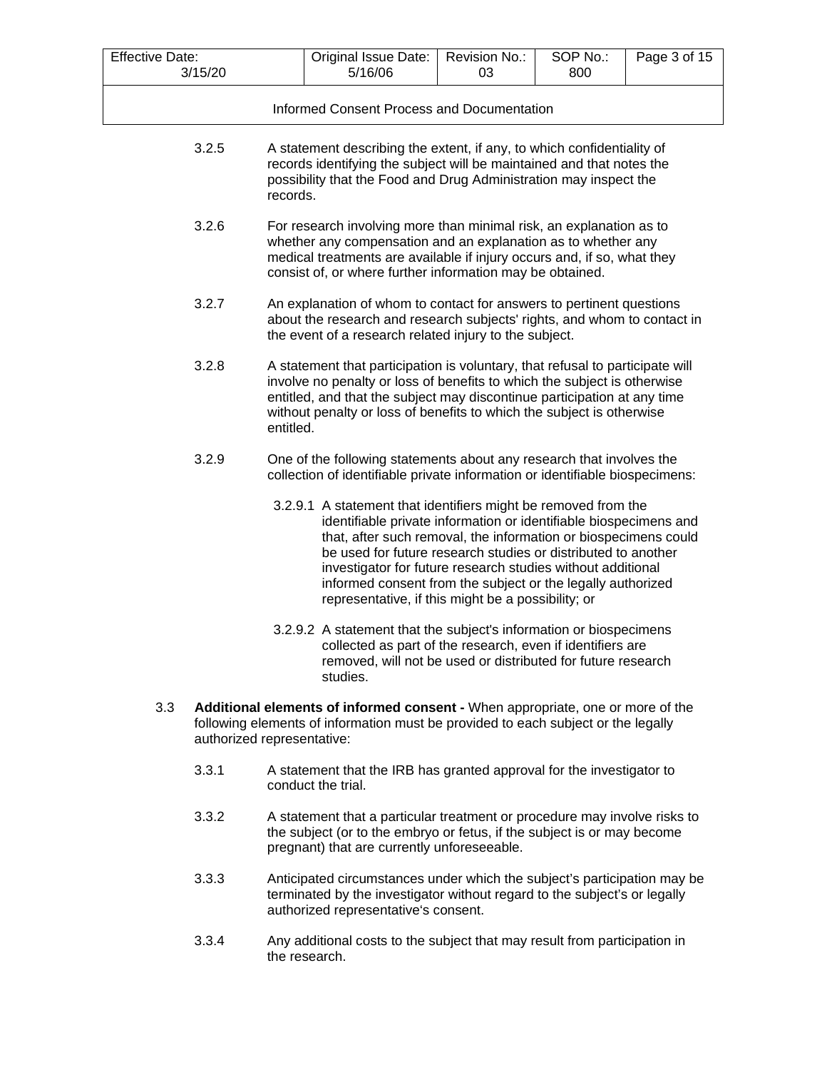| <b>Effective Date:</b> | 3/15/20                                    |                                                                                                                                                                                                                                                                                                                             | Original Issue Date:<br>5/16/06                                                                                                                                                                                                                                                                                                                                                                                                                             | Revision No.:<br>03 | SOP No.:<br>800 | Page 3 of 15 |  |  |  |
|------------------------|--------------------------------------------|-----------------------------------------------------------------------------------------------------------------------------------------------------------------------------------------------------------------------------------------------------------------------------------------------------------------------------|-------------------------------------------------------------------------------------------------------------------------------------------------------------------------------------------------------------------------------------------------------------------------------------------------------------------------------------------------------------------------------------------------------------------------------------------------------------|---------------------|-----------------|--------------|--|--|--|
|                        | Informed Consent Process and Documentation |                                                                                                                                                                                                                                                                                                                             |                                                                                                                                                                                                                                                                                                                                                                                                                                                             |                     |                 |              |  |  |  |
|                        | 3.2.5                                      |                                                                                                                                                                                                                                                                                                                             | A statement describing the extent, if any, to which confidentiality of<br>records identifying the subject will be maintained and that notes the<br>possibility that the Food and Drug Administration may inspect the<br>records.                                                                                                                                                                                                                            |                     |                 |              |  |  |  |
|                        | 3.2.6                                      |                                                                                                                                                                                                                                                                                                                             | For research involving more than minimal risk, an explanation as to<br>whether any compensation and an explanation as to whether any<br>medical treatments are available if injury occurs and, if so, what they<br>consist of, or where further information may be obtained.                                                                                                                                                                                |                     |                 |              |  |  |  |
|                        | 3.2.7                                      |                                                                                                                                                                                                                                                                                                                             | An explanation of whom to contact for answers to pertinent questions<br>about the research and research subjects' rights, and whom to contact in<br>the event of a research related injury to the subject.                                                                                                                                                                                                                                                  |                     |                 |              |  |  |  |
|                        | 3.2.8                                      | A statement that participation is voluntary, that refusal to participate will<br>involve no penalty or loss of benefits to which the subject is otherwise<br>entitled, and that the subject may discontinue participation at any time<br>without penalty or loss of benefits to which the subject is otherwise<br>entitled. |                                                                                                                                                                                                                                                                                                                                                                                                                                                             |                     |                 |              |  |  |  |
|                        | 3.2.9                                      |                                                                                                                                                                                                                                                                                                                             | One of the following statements about any research that involves the<br>collection of identifiable private information or identifiable biospecimens:                                                                                                                                                                                                                                                                                                        |                     |                 |              |  |  |  |
|                        |                                            |                                                                                                                                                                                                                                                                                                                             | 3.2.9.1 A statement that identifiers might be removed from the<br>identifiable private information or identifiable biospecimens and<br>that, after such removal, the information or biospecimens could<br>be used for future research studies or distributed to another<br>investigator for future research studies without additional<br>informed consent from the subject or the legally authorized<br>representative, if this might be a possibility; or |                     |                 |              |  |  |  |
|                        |                                            |                                                                                                                                                                                                                                                                                                                             | 3.2.9.2 A statement that the subject's information or biospecimens<br>collected as part of the research, even if identifiers are<br>removed, will not be used or distributed for future research<br>studies.                                                                                                                                                                                                                                                |                     |                 |              |  |  |  |
| 3.3                    |                                            | Additional elements of informed consent - When appropriate, one or more of the<br>following elements of information must be provided to each subject or the legally<br>authorized representative:                                                                                                                           |                                                                                                                                                                                                                                                                                                                                                                                                                                                             |                     |                 |              |  |  |  |
|                        | 3.3.1                                      |                                                                                                                                                                                                                                                                                                                             | A statement that the IRB has granted approval for the investigator to<br>conduct the trial.                                                                                                                                                                                                                                                                                                                                                                 |                     |                 |              |  |  |  |
|                        | 3.3.2                                      |                                                                                                                                                                                                                                                                                                                             | A statement that a particular treatment or procedure may involve risks to<br>the subject (or to the embryo or fetus, if the subject is or may become<br>pregnant) that are currently unforeseeable.                                                                                                                                                                                                                                                         |                     |                 |              |  |  |  |

- 3.3.3 Anticipated circumstances under which the subject's participation may be terminated by the investigator without regard to the subject's or legally authorized representative's consent.
- 3.3.4 Any additional costs to the subject that may result from participation in the research.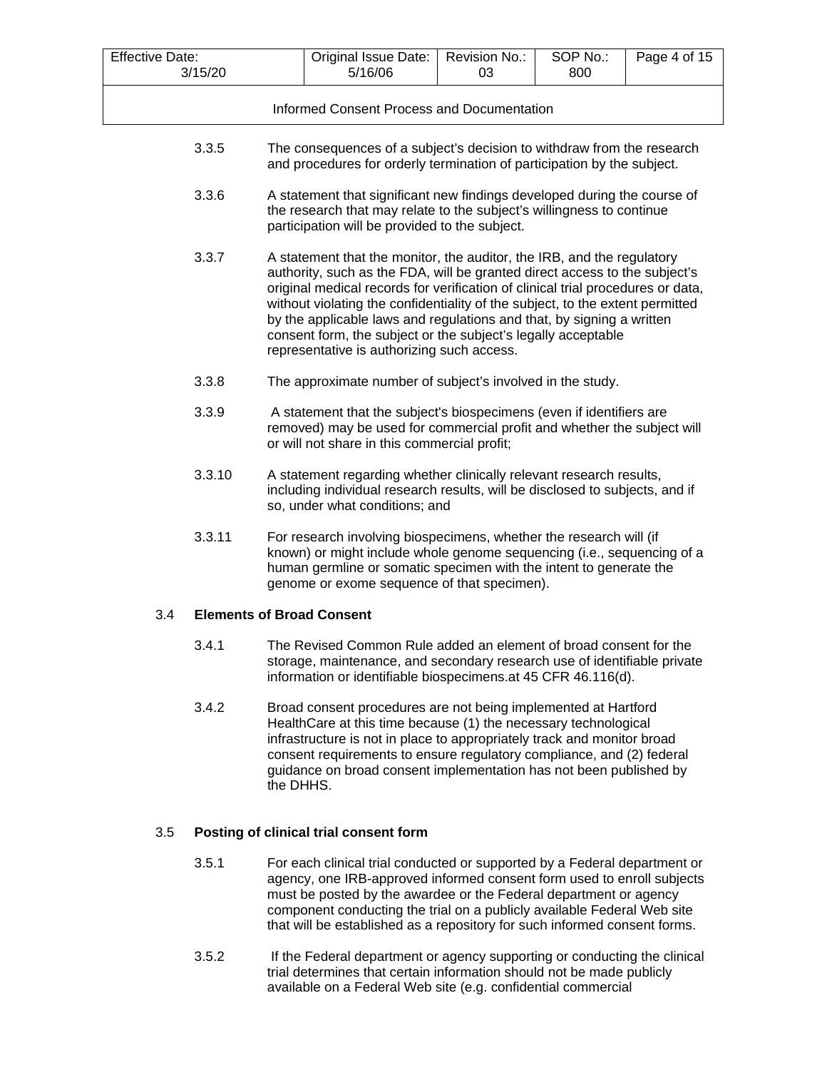| <b>Effective Date:</b> | 3/15/20 |           | Original Issue Date:<br>5/16/06                                                                                                                                                                                                                                                                                                                                                                                                                                                                                  | Revision No.:<br>03 | SOP No.:<br>800 | Page 4 of 15 |  |  |  |
|------------------------|---------|-----------|------------------------------------------------------------------------------------------------------------------------------------------------------------------------------------------------------------------------------------------------------------------------------------------------------------------------------------------------------------------------------------------------------------------------------------------------------------------------------------------------------------------|---------------------|-----------------|--------------|--|--|--|
|                        |         |           |                                                                                                                                                                                                                                                                                                                                                                                                                                                                                                                  |                     |                 |              |  |  |  |
|                        |         |           | Informed Consent Process and Documentation                                                                                                                                                                                                                                                                                                                                                                                                                                                                       |                     |                 |              |  |  |  |
|                        | 3.3.5   |           | The consequences of a subject's decision to withdraw from the research<br>and procedures for orderly termination of participation by the subject.                                                                                                                                                                                                                                                                                                                                                                |                     |                 |              |  |  |  |
|                        | 3.3.6   |           | A statement that significant new findings developed during the course of<br>the research that may relate to the subject's willingness to continue<br>participation will be provided to the subject.                                                                                                                                                                                                                                                                                                              |                     |                 |              |  |  |  |
|                        | 3.3.7   |           | A statement that the monitor, the auditor, the IRB, and the regulatory<br>authority, such as the FDA, will be granted direct access to the subject's<br>original medical records for verification of clinical trial procedures or data,<br>without violating the confidentiality of the subject, to the extent permitted<br>by the applicable laws and regulations and that, by signing a written<br>consent form, the subject or the subject's legally acceptable<br>representative is authorizing such access. |                     |                 |              |  |  |  |
|                        | 3.3.8   |           | The approximate number of subject's involved in the study.                                                                                                                                                                                                                                                                                                                                                                                                                                                       |                     |                 |              |  |  |  |
|                        | 3.3.9   |           | A statement that the subject's biospecimens (even if identifiers are<br>removed) may be used for commercial profit and whether the subject will<br>or will not share in this commercial profit;                                                                                                                                                                                                                                                                                                                  |                     |                 |              |  |  |  |
|                        | 3.3.10  |           | A statement regarding whether clinically relevant research results,<br>including individual research results, will be disclosed to subjects, and if<br>so, under what conditions; and                                                                                                                                                                                                                                                                                                                            |                     |                 |              |  |  |  |
|                        | 3.3.11  |           | For research involving biospecimens, whether the research will (if<br>known) or might include whole genome sequencing (i.e., sequencing of a<br>human germline or somatic specimen with the intent to generate the<br>genome or exome sequence of that specimen).                                                                                                                                                                                                                                                |                     |                 |              |  |  |  |
| 3.4                    |         |           | <b>Elements of Broad Consent</b>                                                                                                                                                                                                                                                                                                                                                                                                                                                                                 |                     |                 |              |  |  |  |
|                        | 3.4.1   |           | The Revised Common Rule added an element of broad consent for the<br>storage, maintenance, and secondary research use of identifiable private<br>information or identifiable biospecimens.at 45 CFR 46.116(d).                                                                                                                                                                                                                                                                                                   |                     |                 |              |  |  |  |
|                        | 3.4.2   | the DHHS. | Broad consent procedures are not being implemented at Hartford<br>HealthCare at this time because (1) the necessary technological<br>infrastructure is not in place to appropriately track and monitor broad<br>consent requirements to ensure regulatory compliance, and (2) federal<br>guidance on broad consent implementation has not been published by                                                                                                                                                      |                     |                 |              |  |  |  |

# 3.5 **Posting of clinical trial consent form**

- 3.5.1 For each clinical trial conducted or supported by a Federal department or agency, one IRB-approved informed consent form used to enroll subjects must be posted by the awardee or the Federal department or agency component conducting the trial on a publicly available Federal Web site that will be established as a repository for such informed consent forms.
- 3.5.2 If the Federal department or agency supporting or conducting the clinical trial determines that certain information should not be made publicly available on a Federal Web site (e.g. confidential commercial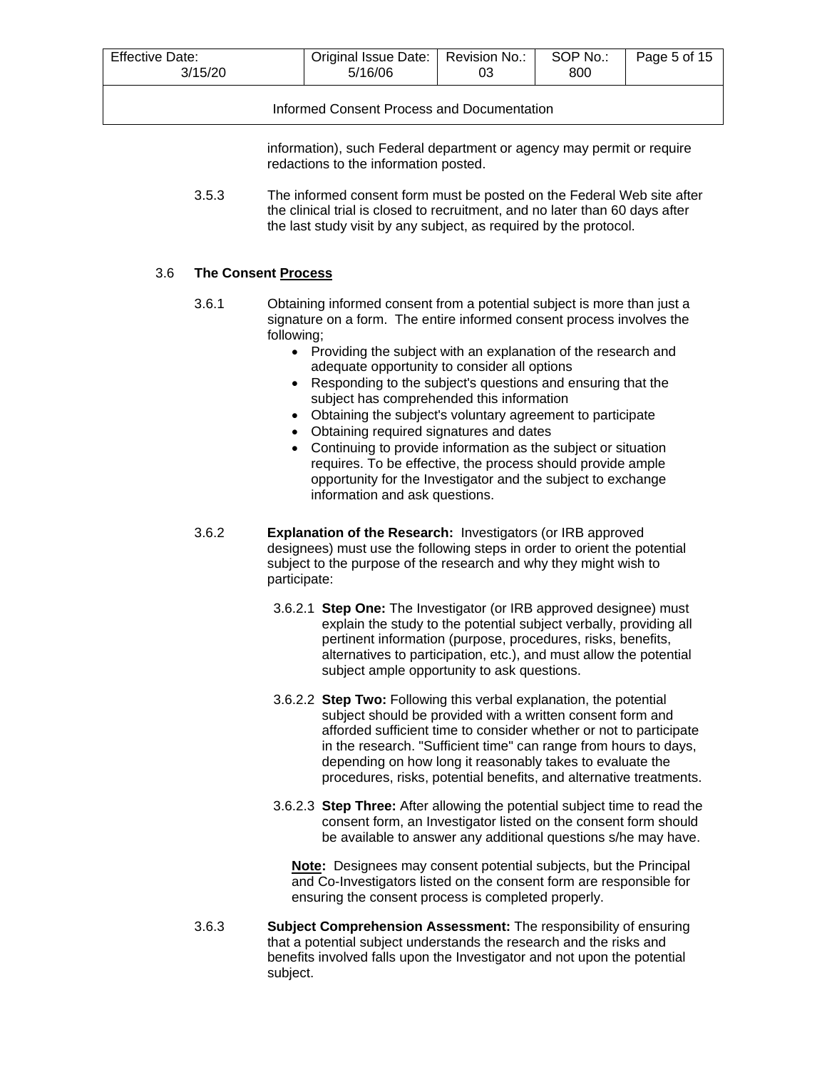| Effective Date:<br>3/15/20                 | Original Issue Date:   Revision No.:<br>5/16/06 | 03 | SOP No.:<br>800 | Page 5 of 15 |  |
|--------------------------------------------|-------------------------------------------------|----|-----------------|--------------|--|
| Informed Consent Process and Documentation |                                                 |    |                 |              |  |

information), such Federal department or agency may permit or require redactions to the information posted.

3.5.3 The informed consent form must be posted on the Federal Web site after the clinical trial is closed to recruitment, and no later than 60 days after the last study visit by any subject, as required by the protocol.

## 3.6 **The Consent Process**

- 3.6.1 Obtaining informed consent from a potential subject is more than just a signature on a form. The entire informed consent process involves the following;
	- Providing the subject with an explanation of the research and adequate opportunity to consider all options
	- Responding to the subject's questions and ensuring that the subject has comprehended this information
	- Obtaining the subject's voluntary agreement to participate
	- Obtaining required signatures and dates
	- Continuing to provide information as the subject or situation requires. To be effective, the process should provide ample opportunity for the Investigator and the subject to exchange information and ask questions.
- 3.6.2 **Explanation of the Research:** Investigators (or IRB approved designees) must use the following steps in order to orient the potential subject to the purpose of the research and why they might wish to participate:
	- 3.6.2.1 **Step One:** The Investigator (or IRB approved designee) must explain the study to the potential subject verbally, providing all pertinent information (purpose, procedures, risks, benefits, alternatives to participation, etc.), and must allow the potential subject ample opportunity to ask questions.
	- 3.6.2.2 **Step Two:** Following this verbal explanation, the potential subject should be provided with a written consent form and afforded sufficient time to consider whether or not to participate in the research. "Sufficient time" can range from hours to days, depending on how long it reasonably takes to evaluate the procedures, risks, potential benefits, and alternative treatments.
	- 3.6.2.3 **Step Three:** After allowing the potential subject time to read the consent form, an Investigator listed on the consent form should be available to answer any additional questions s/he may have.

**Note:** Designees may consent potential subjects, but the Principal and Co-Investigators listed on the consent form are responsible for ensuring the consent process is completed properly.

3.6.3 **Subject Comprehension Assessment:** The responsibility of ensuring that a potential subject understands the research and the risks and benefits involved falls upon the Investigator and not upon the potential subject.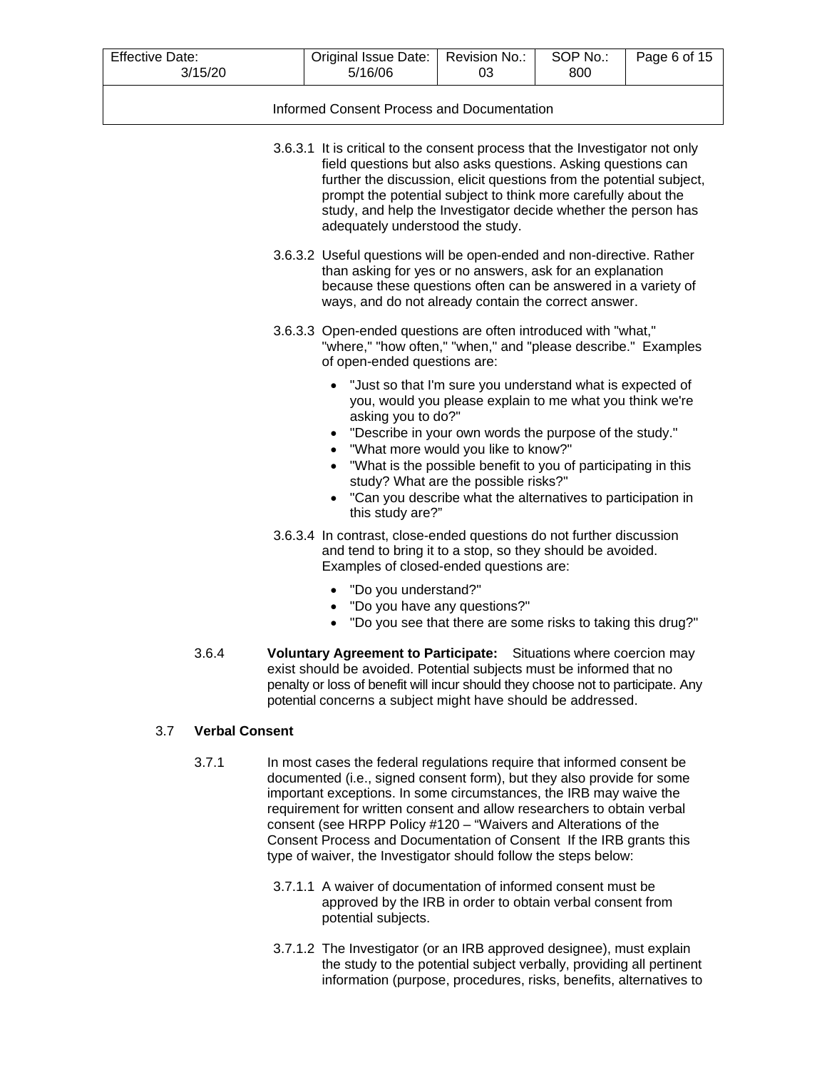| <b>Effective Date:</b> | 3/15/20               | Original Issue Date:<br>5/16/06                                                                                                                                                                                                                                                                                                                                                                                                                                                                               | Revision No.:<br>03                                                                                                                                                                                                                                                | SOP No.:<br>800 | Page 6 of 15 |
|------------------------|-----------------------|---------------------------------------------------------------------------------------------------------------------------------------------------------------------------------------------------------------------------------------------------------------------------------------------------------------------------------------------------------------------------------------------------------------------------------------------------------------------------------------------------------------|--------------------------------------------------------------------------------------------------------------------------------------------------------------------------------------------------------------------------------------------------------------------|-----------------|--------------|
|                        |                       | Informed Consent Process and Documentation                                                                                                                                                                                                                                                                                                                                                                                                                                                                    |                                                                                                                                                                                                                                                                    |                 |              |
|                        |                       | 3.6.3.1 It is critical to the consent process that the Investigator not only<br>field questions but also asks questions. Asking questions can<br>further the discussion, elicit questions from the potential subject,<br>prompt the potential subject to think more carefully about the<br>study, and help the Investigator decide whether the person has<br>adequately understood the study.                                                                                                                 |                                                                                                                                                                                                                                                                    |                 |              |
|                        |                       | 3.6.3.2 Useful questions will be open-ended and non-directive. Rather<br>than asking for yes or no answers, ask for an explanation<br>because these questions often can be answered in a variety of<br>ways, and do not already contain the correct answer.                                                                                                                                                                                                                                                   |                                                                                                                                                                                                                                                                    |                 |              |
|                        |                       | 3.6.3.3 Open-ended questions are often introduced with "what,"<br>"where," "how often," "when," and "please describe." Examples<br>of open-ended questions are:                                                                                                                                                                                                                                                                                                                                               |                                                                                                                                                                                                                                                                    |                 |              |
|                        |                       | • "Just so that I'm sure you understand what is expected of<br>asking you to do?"<br>• "Can you describe what the alternatives to participation in<br>this study are?"                                                                                                                                                                                                                                                                                                                                        | you, would you please explain to me what you think we're<br>"Describe in your own words the purpose of the study."<br>"What more would you like to know?"<br>"What is the possible benefit to you of participating in this<br>study? What are the possible risks?" |                 |              |
|                        |                       | 3.6.3.4 In contrast, close-ended questions do not further discussion<br>and tend to bring it to a stop, so they should be avoided.<br>Examples of closed-ended questions are:                                                                                                                                                                                                                                                                                                                                 |                                                                                                                                                                                                                                                                    |                 |              |
|                        |                       | "Do you understand?"<br>$\bullet$                                                                                                                                                                                                                                                                                                                                                                                                                                                                             | "Do you have any questions?"<br>"Do you see that there are some risks to taking this drug?"                                                                                                                                                                        |                 |              |
|                        | 3.6.4                 | Voluntary Agreement to Participate: Situations where coercion may<br>exist should be avoided. Potential subjects must be informed that no<br>penalty or loss of benefit will incur should they choose not to participate. Any<br>potential concerns a subject might have should be addressed.                                                                                                                                                                                                                 |                                                                                                                                                                                                                                                                    |                 |              |
| 3.7                    | <b>Verbal Consent</b> |                                                                                                                                                                                                                                                                                                                                                                                                                                                                                                               |                                                                                                                                                                                                                                                                    |                 |              |
|                        | 3.7.1                 | In most cases the federal regulations require that informed consent be<br>documented (i.e., signed consent form), but they also provide for some<br>important exceptions. In some circumstances, the IRB may waive the<br>requirement for written consent and allow researchers to obtain verbal<br>consent (see HRPP Policy #120 - "Waivers and Alterations of the<br>Consent Process and Documentation of Consent If the IRB grants this<br>type of waiver, the Investigator should follow the steps below: |                                                                                                                                                                                                                                                                    |                 |              |

- 3.7.1.1 A waiver of documentation of informed consent must be approved by the IRB in order to obtain verbal consent from potential subjects.
- 3.7.1.2 The Investigator (or an IRB approved designee), must explain the study to the potential subject verbally, providing all pertinent information (purpose, procedures, risks, benefits, alternatives to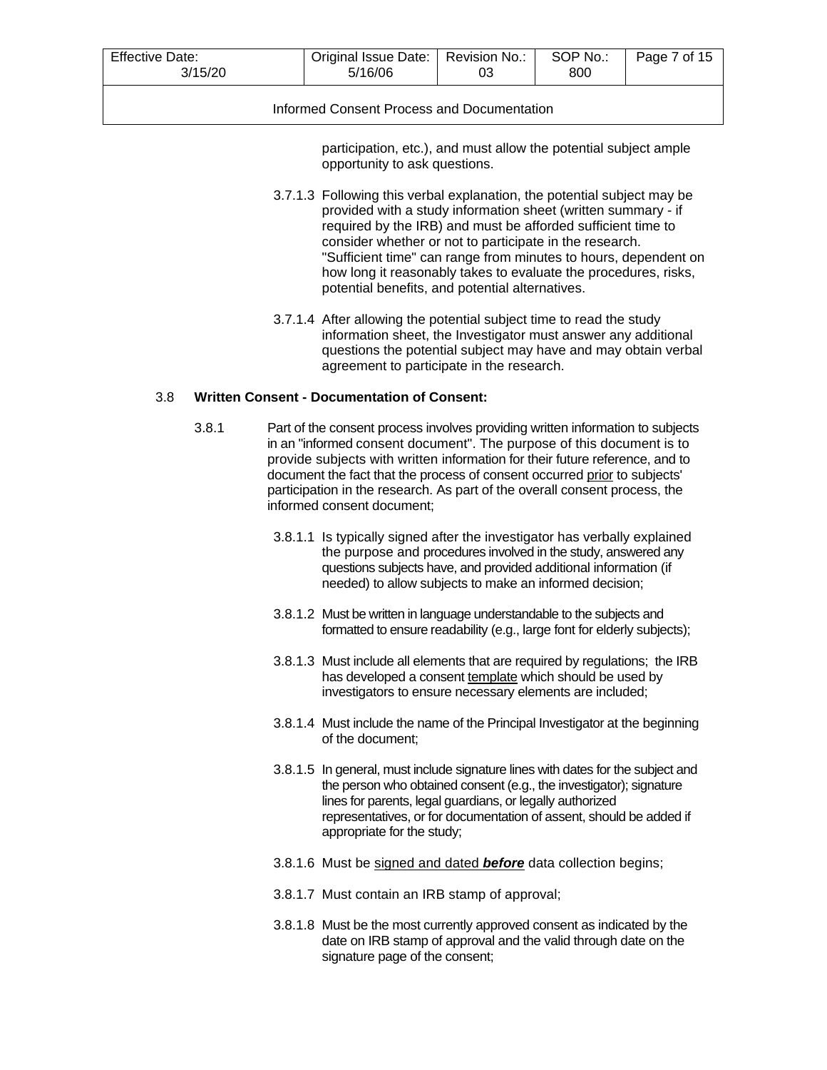| Effective Date:<br>3/15/20                 | Original Issue Date:   Revision No.:  <br>5/16/06 | 03 | SOP No.:<br>800 | Page 7 of 15 |  |  |  |
|--------------------------------------------|---------------------------------------------------|----|-----------------|--------------|--|--|--|
| Informed Consent Process and Documentation |                                                   |    |                 |              |  |  |  |

participation, etc.), and must allow the potential subject ample opportunity to ask questions.

- 3.7.1.3 Following this verbal explanation, the potential subject may be provided with a study information sheet (written summary - if required by the IRB) and must be afforded sufficient time to consider whether or not to participate in the research. "Sufficient time" can range from minutes to hours, dependent on how long it reasonably takes to evaluate the procedures, risks, potential benefits, and potential alternatives.
- 3.7.1.4 After allowing the potential subject time to read the study information sheet, the Investigator must answer any additional questions the potential subject may have and may obtain verbal agreement to participate in the research.

## 3.8 **Written Consent - Documentation of Consent:**

- 3.8.1 Part of the consent process involves providing written information to subjects in an "informed consent document". The purpose of this document is to provide subjects with written information for their future reference, and to document the fact that the process of consent occurred prior to subjects' participation in the research. As part of the overall consent process, the informed consent document;
	- 3.8.1.1 Is typically signed after the investigator has verbally explained the purpose and procedures involved in the study, answered any questions subjects have, and provided additional information (if needed) to allow subjects to make an informed decision;
	- 3.8.1.2 Must be written in language understandable to the subjects and formatted to ensure readability (e.g., large font for elderly subjects);
	- 3.8.1.3 Must include all elements that are required by regulations; the IRB has developed a consent template which should be used by investigators to ensure necessary elements are included;
	- 3.8.1.4 Must include the name of the Principal Investigator at the beginning of the document;
	- 3.8.1.5 In general, must include signature lines with dates for the subject and the person who obtained consent (e.g., the investigator); signature lines for parents, legal guardians, or legally authorized representatives, or for documentation of assent, should be added if appropriate for the study;
	- 3.8.1.6 Must be signed and dated *before* data collection begins;
	- 3.8.1.7 Must contain an IRB stamp of approval;
	- 3.8.1.8 Must be the most currently approved consent as indicated by the date on IRB stamp of approval and the valid through date on the signature page of the consent;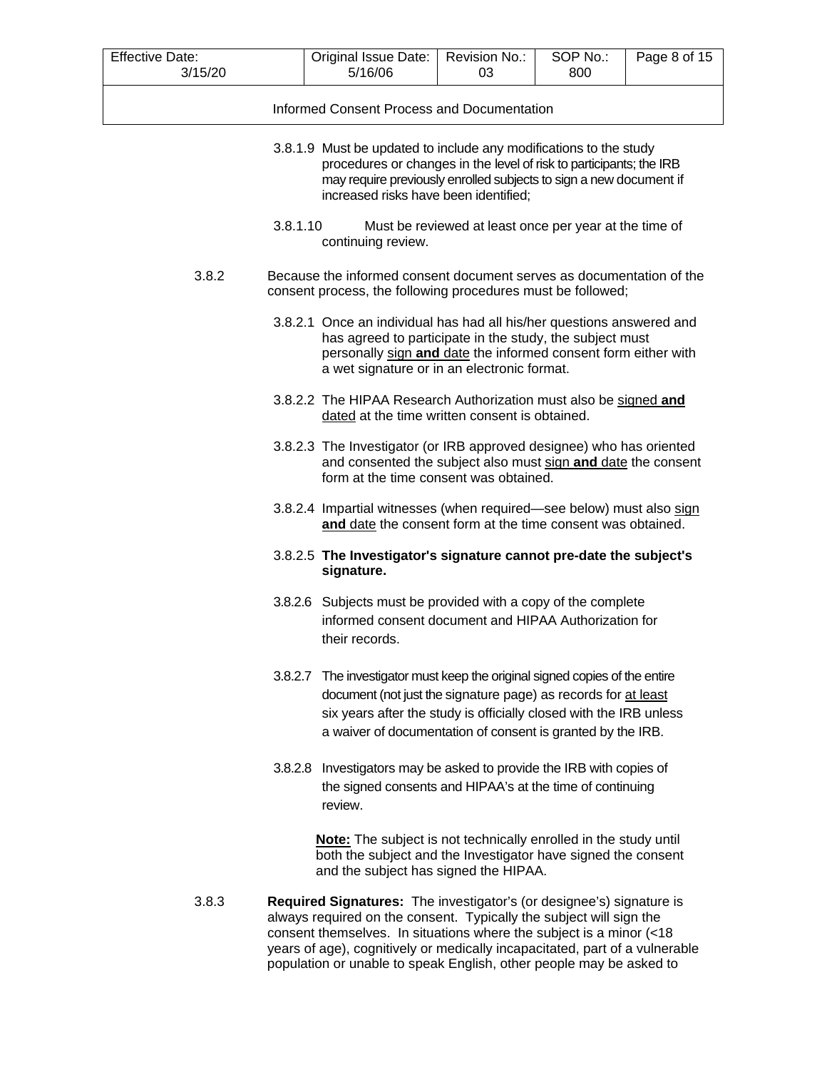| <b>Effective Date:</b><br>3/15/20 |                                                                                                                                                                                                                                                         | Original Issue Date:<br>5/16/06                                                                                                                                                                                                                                                                                                                                          | Revision No.:<br>03                                    | SOP No.:<br>800 | Page 8 of 15 |  |  |
|-----------------------------------|---------------------------------------------------------------------------------------------------------------------------------------------------------------------------------------------------------------------------------------------------------|--------------------------------------------------------------------------------------------------------------------------------------------------------------------------------------------------------------------------------------------------------------------------------------------------------------------------------------------------------------------------|--------------------------------------------------------|-----------------|--------------|--|--|
|                                   | Informed Consent Process and Documentation                                                                                                                                                                                                              |                                                                                                                                                                                                                                                                                                                                                                          |                                                        |                 |              |  |  |
|                                   |                                                                                                                                                                                                                                                         |                                                                                                                                                                                                                                                                                                                                                                          |                                                        |                 |              |  |  |
|                                   | 3.8.1.9 Must be updated to include any modifications to the study<br>procedures or changes in the level of risk to participants; the IRB<br>may require previously enrolled subjects to sign a new document if<br>increased risks have been identified; |                                                                                                                                                                                                                                                                                                                                                                          |                                                        |                 |              |  |  |
|                                   | 3.8.1.10                                                                                                                                                                                                                                                | continuing review.                                                                                                                                                                                                                                                                                                                                                       | Must be reviewed at least once per year at the time of |                 |              |  |  |
| 3.8.2                             |                                                                                                                                                                                                                                                         | Because the informed consent document serves as documentation of the<br>consent process, the following procedures must be followed;                                                                                                                                                                                                                                      |                                                        |                 |              |  |  |
|                                   |                                                                                                                                                                                                                                                         | 3.8.2.1 Once an individual has had all his/her questions answered and<br>has agreed to participate in the study, the subject must<br>personally sign and date the informed consent form either with<br>a wet signature or in an electronic format.                                                                                                                       |                                                        |                 |              |  |  |
|                                   |                                                                                                                                                                                                                                                         | 3.8.2.2 The HIPAA Research Authorization must also be signed and<br>dated at the time written consent is obtained.                                                                                                                                                                                                                                                       |                                                        |                 |              |  |  |
|                                   |                                                                                                                                                                                                                                                         | 3.8.2.3 The Investigator (or IRB approved designee) who has oriented<br>and consented the subject also must sign and date the consent<br>form at the time consent was obtained.                                                                                                                                                                                          |                                                        |                 |              |  |  |
|                                   |                                                                                                                                                                                                                                                         | 3.8.2.4 Impartial witnesses (when required—see below) must also sign<br>and date the consent form at the time consent was obtained.                                                                                                                                                                                                                                      |                                                        |                 |              |  |  |
|                                   |                                                                                                                                                                                                                                                         | 3.8.2.5 The Investigator's signature cannot pre-date the subject's<br>signature.                                                                                                                                                                                                                                                                                         |                                                        |                 |              |  |  |
|                                   |                                                                                                                                                                                                                                                         | 3.8.2.6 Subjects must be provided with a copy of the complete<br>informed consent document and HIPAA Authorization for<br>their records.                                                                                                                                                                                                                                 |                                                        |                 |              |  |  |
|                                   |                                                                                                                                                                                                                                                         | 3.8.2.7 The investigator must keep the original signed copies of the entire<br>document (not just the signature page) as records for at least<br>six years after the study is officially closed with the IRB unless<br>a waiver of documentation of consent is granted by the IRB.                                                                                       |                                                        |                 |              |  |  |
|                                   |                                                                                                                                                                                                                                                         | 3.8.2.8 Investigators may be asked to provide the IRB with copies of<br>the signed consents and HIPAA's at the time of continuing<br>review.                                                                                                                                                                                                                             |                                                        |                 |              |  |  |
|                                   |                                                                                                                                                                                                                                                         | <b>Note:</b> The subject is not technically enrolled in the study until<br>both the subject and the Investigator have signed the consent<br>and the subject has signed the HIPAA.                                                                                                                                                                                        |                                                        |                 |              |  |  |
| 3.8.3                             |                                                                                                                                                                                                                                                         | Required Signatures: The investigator's (or designee's) signature is<br>always required on the consent. Typically the subject will sign the<br>consent themselves. In situations where the subject is a minor (<18<br>years of age), cognitively or medically incapacitated, part of a vulnerable<br>population or unable to speak English, other people may be asked to |                                                        |                 |              |  |  |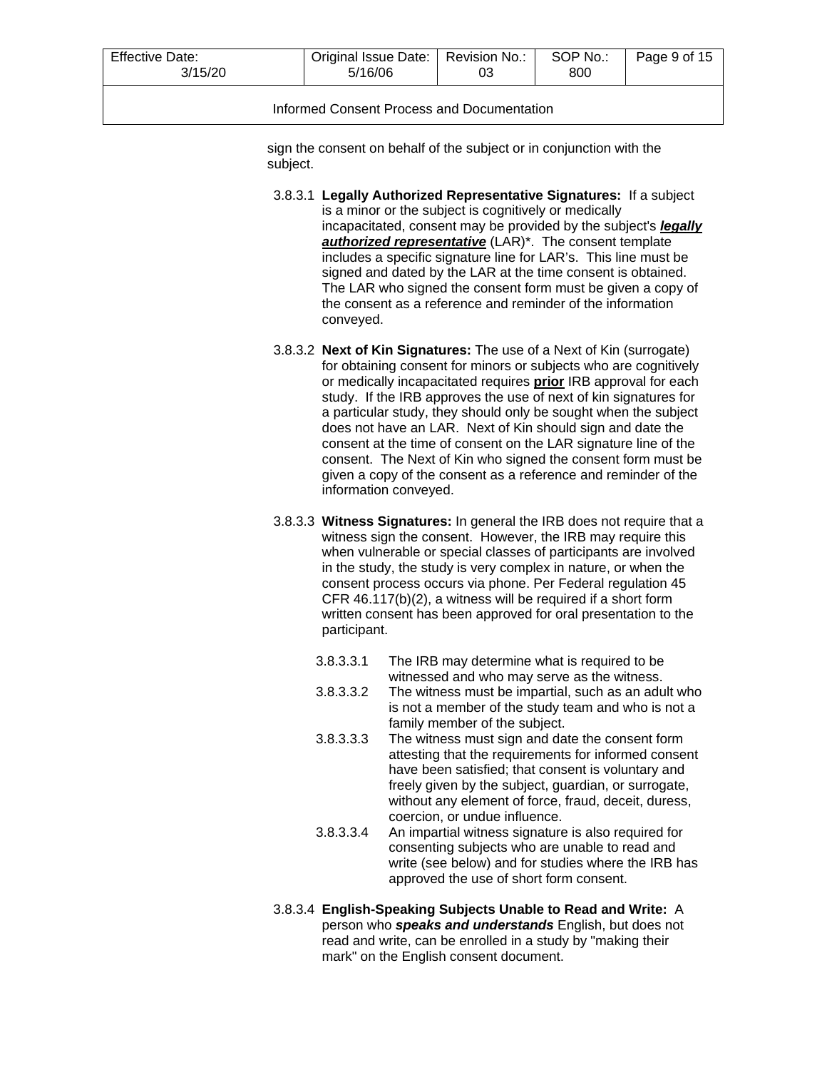| Effective Date:<br>3/15/20                 | Original Issue Date:   Revision No.:<br>5/16/06 | 03 | SOP No.:<br>800 | Page 9 of 15 |  |  |  |
|--------------------------------------------|-------------------------------------------------|----|-----------------|--------------|--|--|--|
| Informed Consent Process and Documentation |                                                 |    |                 |              |  |  |  |

sign the consent on behalf of the subject or in conjunction with the subject.

- 3.8.3.1 **Legally Authorized Representative Signatures:** If a subject is a minor or the subject is cognitively or medically incapacitated, consent may be provided by the subject's *[legally](http://www.research.uci.edu/ora/glossary.htm#LAR)  [authorized representative](http://www.research.uci.edu/ora/glossary.htm#LAR)* (LAR)\*. The consent template includes a specific signature line for LAR's. This line must be signed and dated by the LAR at the time consent is obtained. The LAR who signed the consent form must be given a copy of the consent as a reference and reminder of the information conveyed.
- 3.8.3.2 **Next of Kin Signatures:** The use of a Next of Kin (surrogate) for obtaining consent for minors or subiects who are cognitively or medically incapacitated requires **prior** IRB approval for each study. If the IRB approves the use of next of kin signatures for a particular study, they should only be sought when the subject does not have an LAR. Next of Kin should sign and date the consent at the time of consent on the LAR signature line of the consent. The Next of Kin who signed the consent form must be given a copy of the consent as a reference and reminder of the information conveyed.
- 3.8.3.3 **Witness Signatures:** In general the IRB does not require that a witness sign the consent. However, the IRB may require this when vulnerable or special classes of participants are involved in the study, the study is very complex in nature, or when the consent process occurs via phone. Per Federal regulation 45 CFR 46.117(b)(2), a witness will be required if a short form written consent has been approved for oral presentation to the participant.
	- 3.8.3.3.1 The IRB may determine what is required to be witnessed and who may serve as the witness.
	- 3.8.3.3.2 The witness must be impartial, such as an adult who is not a member of the study team and who is not a family member of the subject.
	- 3.8.3.3.3 The witness must sign and date the consent form attesting that the requirements for informed consent have been satisfied; that consent is voluntary and freely given by the subject, guardian, or surrogate, without any element of force, fraud, deceit, duress, coercion, or undue influence.
	- 3.8.3.3.4 An impartial witness signature is also required for consenting subjects who are unable to read and write (see below) and for studies where the IRB has approved the use of short form consent.
- 3.8.3.4 **English-Speaking Subjects Unable to Read and Write:** A person who *speaks and understands* English, but does not read and write, can be enrolled in a study by "making their mark" on the English consent document.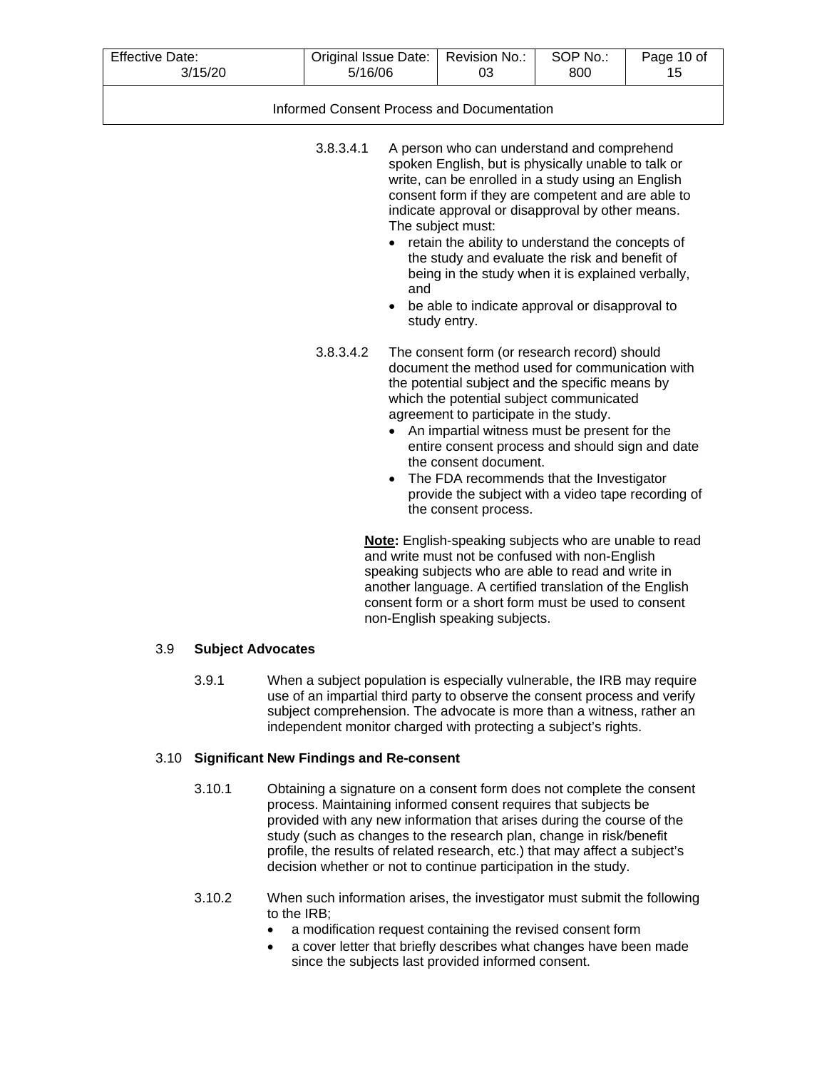| <b>Effective Date:</b><br>3/15/20 | Original Issue Date:<br>5/16/06            |                  | Revision No.:<br>03                                                                                                                                                                                                                                                                                                                                                                                                                                                                                                 | SOP No.:<br>800 | Page 10 of<br>15 |
|-----------------------------------|--------------------------------------------|------------------|---------------------------------------------------------------------------------------------------------------------------------------------------------------------------------------------------------------------------------------------------------------------------------------------------------------------------------------------------------------------------------------------------------------------------------------------------------------------------------------------------------------------|-----------------|------------------|
|                                   | Informed Consent Process and Documentation |                  |                                                                                                                                                                                                                                                                                                                                                                                                                                                                                                                     |                 |                  |
|                                   | 3.8.3.4.1                                  | and<br>$\bullet$ | A person who can understand and comprehend<br>spoken English, but is physically unable to talk or<br>write, can be enrolled in a study using an English<br>consent form if they are competent and are able to<br>indicate approval or disapproval by other means.<br>The subject must:<br>retain the ability to understand the concepts of<br>the study and evaluate the risk and benefit of<br>being in the study when it is explained verbally,<br>be able to indicate approval or disapproval to<br>study entry. |                 |                  |
|                                   | 3.8.3.4.2                                  | $\bullet$        | The consent form (or research record) should<br>document the method used for communication with<br>the potential subject and the specific means by<br>which the potential subject communicated<br>agreement to participate in the study.<br>An impartial witness must be present for the<br>entire consent process and should sign and date<br>the consent document.<br>The FDA recommends that the Investigator<br>provide the subject with a video tape recording of<br>the consent process.                      |                 |                  |
|                                   |                                            |                  | Note: English-speaking subjects who are unable to read<br>and write must not be confused with non-English<br>speaking subjects who are able to read and write in<br>another language. A certified translation of the English                                                                                                                                                                                                                                                                                        |                 |                  |

#### 3.9 **Subject Advocates**

3.9.1 When a subject population is especially vulnerable, the IRB may require use of an impartial third party to observe the consent process and verify subject comprehension. The advocate is more than a witness, rather an independent monitor charged with protecting a subject's rights.

non-English speaking subjects.

consent form or a short form must be used to consent

#### 3.10 **Significant New Findings and Re-consent**

- 3.10.1 Obtaining a signature on a consent form does not complete the consent process. Maintaining informed consent requires that subjects be provided with any new information that arises during the course of the study (such as changes to the research plan, change in risk/benefit profile, the results of related research, etc.) that may affect a subject's decision whether or not to continue participation in the study.
- 3.10.2 When such information arises, the investigator must submit the following to the IRB;
	- a modification request containing the revised consent form
	- a cover letter that briefly describes what changes have been made since the subjects last provided informed consent.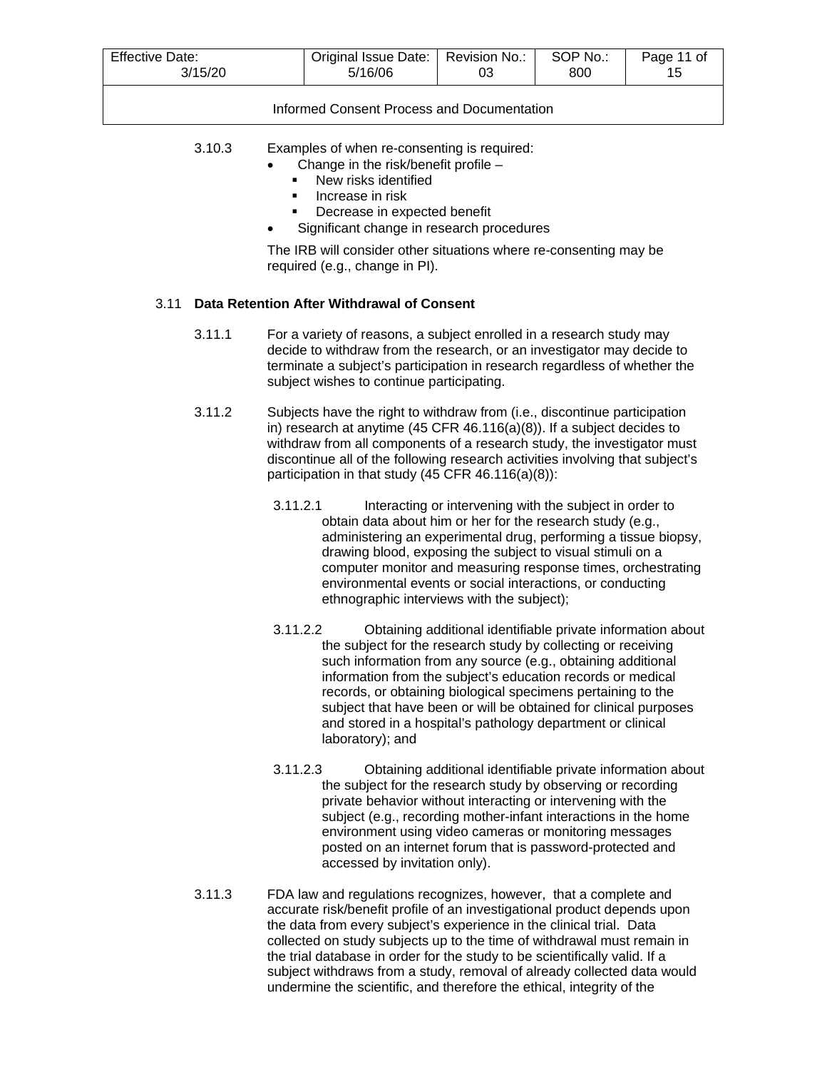| <b>Effective Date:</b> | Original Issue Date: | Revision No.: | SOP No.: | Page 11 of |
|------------------------|----------------------|---------------|----------|------------|
| 3/15/20                | 5/16/06              | 03            | 800      |            |
|                        |                      |               |          |            |

Informed Consent Process and Documentation

- 3.10.3 Examples of when re-consenting is required:
	- Change in the risk/benefit profile
		- New risks identified
		- **Increase in risk**
		- Decrease in expected benefit
	- Significant change in research procedures

The IRB will consider other situations where re-consenting may be required (e.g., change in PI).

## 3.11 **Data Retention After Withdrawal of Consent**

- 3.11.1 For a variety of reasons, a subject enrolled in a research study may decide to withdraw from the research, or an investigator may decide to terminate a subject's participation in research regardless of whether the subject wishes to continue participating.
- 3.11.2 Subjects have the right to withdraw from (i.e., discontinue participation in) research at anytime (45 CFR 46.116(a)(8)). If a subject decides to withdraw from all components of a research study, the investigator must discontinue all of the following research activities involving that subject's participation in that study (45 CFR 46.116(a)(8)):
	- 3.11.2.1 Interacting or intervening with the subject in order to obtain data about him or her for the research study (e.g., administering an experimental drug, performing a tissue biopsy, drawing blood, exposing the subject to visual stimuli on a computer monitor and measuring response times, orchestrating environmental events or social interactions, or conducting ethnographic interviews with the subject);
	- 3.11.2.2 Obtaining additional identifiable private information about the subject for the research study by collecting or receiving such information from any source (e.g., obtaining additional information from the subject's education records or medical records, or obtaining biological specimens pertaining to the subject that have been or will be obtained for clinical purposes and stored in a hospital's pathology department or clinical laboratory); and
	- 3.11.2.3 Obtaining additional identifiable private information about the subject for the research study by observing or recording private behavior without interacting or intervening with the subject (e.g., recording mother-infant interactions in the home environment using video cameras or monitoring messages posted on an internet forum that is password-protected and accessed by invitation only).
- 3.11.3 FDA law and regulations recognizes, however, that a complete and accurate risk/benefit profile of an investigational product depends upon the data from every subject's experience in the clinical trial. Data collected on study subjects up to the time of withdrawal must remain in the trial database in order for the study to be scientifically valid. If a subject withdraws from a study, removal of already collected data would undermine the scientific, and therefore the ethical, integrity of the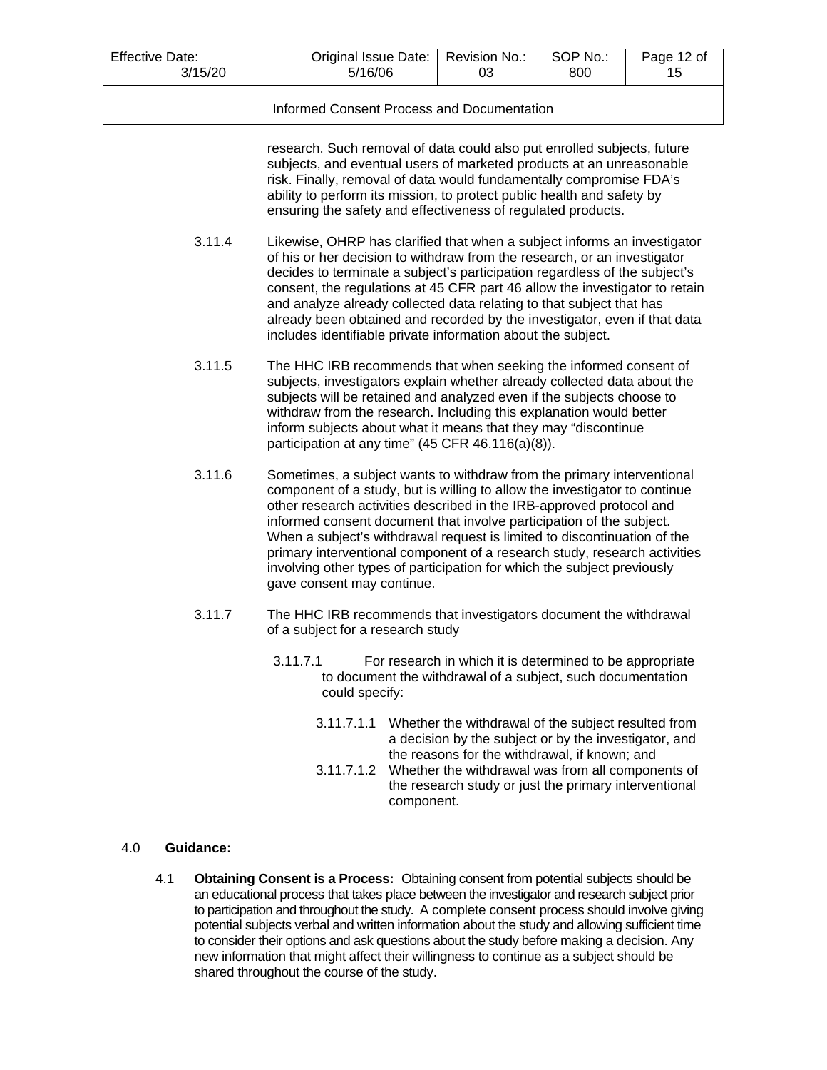| Effective Date:                            | Original Issue Date:   Revision No.: | 03 | SOP No.: | Page 12 of |  |  |  |
|--------------------------------------------|--------------------------------------|----|----------|------------|--|--|--|
| 3/15/20                                    | 5/16/06                              |    | 800      | 15         |  |  |  |
| Informed Consent Process and Documentation |                                      |    |          |            |  |  |  |

research. Such removal of data could also put enrolled subjects, future subjects, and eventual users of marketed products at an unreasonable risk. Finally, removal of data would fundamentally compromise FDA's ability to perform its mission, to protect public health and safety by ensuring the safety and effectiveness of regulated products.

- 3.11.4 Likewise, OHRP has clarified that when a subject informs an investigator of his or her decision to withdraw from the research, or an investigator decides to terminate a subject's participation regardless of the subject's consent, the regulations at 45 CFR part 46 allow the investigator to retain and analyze already collected data relating to that subject that has already been obtained and recorded by the investigator, even if that data includes identifiable private information about the subject.
- 3.11.5 The HHC IRB recommends that when seeking the informed consent of subjects, investigators explain whether already collected data about the subjects will be retained and analyzed even if the subjects choose to withdraw from the research. Including this explanation would better inform subjects about what it means that they may "discontinue participation at any time" (45 CFR 46.116(a)(8)).
- 3.11.6 Sometimes, a subject wants to withdraw from the primary interventional component of a study, but is willing to allow the investigator to continue other research activities described in the IRB-approved protocol and informed consent document that involve participation of the subject. When a subject's withdrawal request is limited to discontinuation of the primary interventional component of a research study, research activities involving other types of participation for which the subject previously gave consent may continue.
- 3.11.7 The HHC IRB recommends that investigators document the withdrawal of a subject for a research study
	- 3.11.7.1 For research in which it is determined to be appropriate to document the withdrawal of a subject, such documentation could specify:
		- 3.11.7.1.1 Whether the withdrawal of the subject resulted from a decision by the subject or by the investigator, and the reasons for the withdrawal, if known; and
		- 3.11.7.1.2 Whether the withdrawal was from all components of the research study or just the primary interventional component.

# 4.0 **Guidance:**

4.1 **Obtaining Consent is a Process:** Obtaining consent from potential subjects should be an educational process that takes place between the investigator and research subject prior to participation and throughout the study. A complete consent process should involve giving potential subjects verbal and written information about the study and allowing sufficient time to consider their options and ask questions about the study before making a decision. Any new information that might affect their willingness to continue as a subject should be shared throughout the course of the study.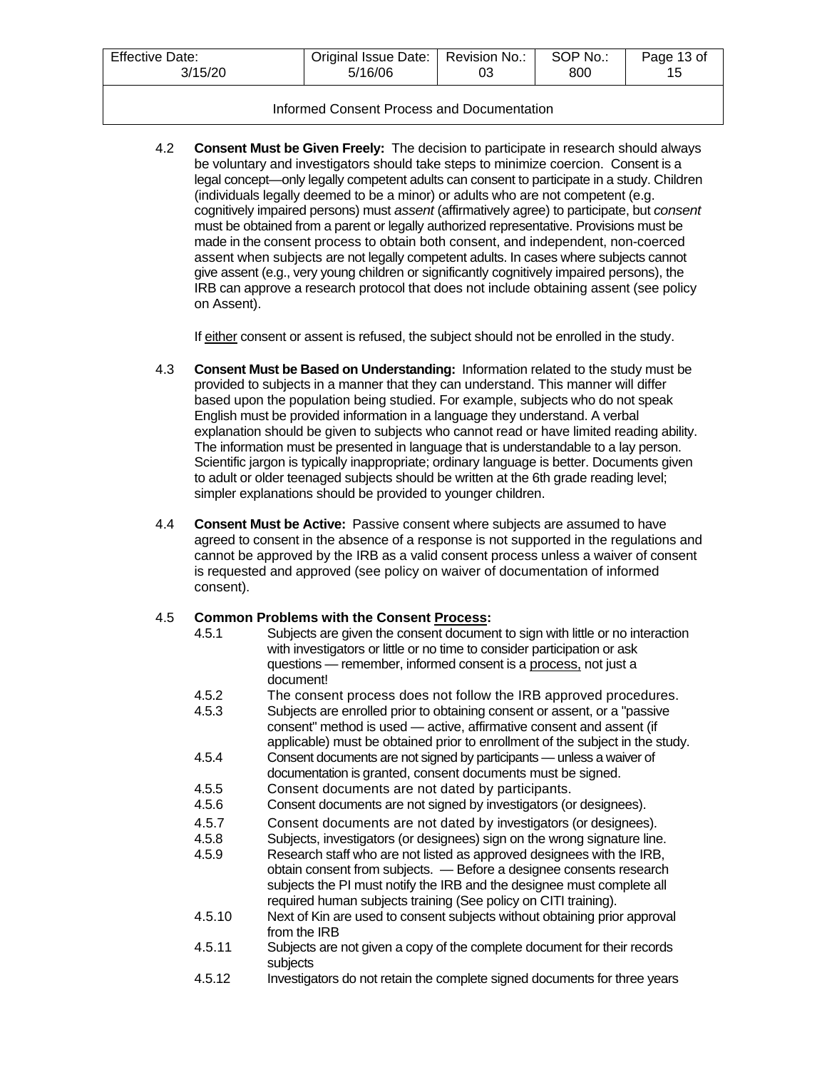| <b>Effective Date:</b> | Original Issue Date: | Revision No.: | SOP No.: | Page 13 of |
|------------------------|----------------------|---------------|----------|------------|
| 3/15/20                | 5/16/06              | 03            | 800      |            |
|                        |                      |               |          |            |

## Informed Consent Process and Documentation

4.2 **Consent Must be Given Freely:** The decision to participate in research should always be voluntary and investigators should take steps to minimize coercion. Consent is a legal concept—only legally competent adults can consent to participate in a study. Children (individuals legally deemed to be a minor) or adults who are not competent (e.g. cognitively impaired persons) must *assent* (affirmatively agree) to participate, but *consent*  must be obtained from a parent or legally authorized representative. Provisions must be made in the consent process to obtain both consent, and independent, non-coerced assent when subjects are not legally competent adults. In cases where subjects cannot give assent (e.g., very young children or significantly cognitively impaired persons), the IRB can approve a research protocol that does not include obtaining assent (see policy on Assent).

If either consent or assent is refused, the subject should not be enrolled in the study.

- 4.3 **Consent Must be Based on Understanding:** Information related to the study must be provided to subjects in a manner that they can understand. This manner will differ based upon the population being studied. For example, subjects who do not speak English must be provided information in a language they understand. A verbal explanation should be given to subjects who cannot read or have limited reading ability. The information must be presented in language that is understandable to a lay person. Scientific jargon is typically inappropriate; ordinary language is better. Documents given to adult or older teenaged subjects should be written at the 6th grade reading level; simpler explanations should be provided to younger children.
- 4.4 **Consent Must be Active:** Passive consent where subjects are assumed to have agreed to consent in the absence of a response is not supported in the regulations and cannot be approved by the IRB as a valid consent process unless a waiver of consent is requested and approved (see policy on waiver of documentation of informed consent).

# 4.5 **Common Problems with the Consent Process:**

4.5.1 Subjects are given the consent document to sign with little or no interaction with investigators or little or no time to consider participation or ask questions — remember, informed consent is a process, not just a document! 4.5.2 The consent process does not follow the IRB approved procedures. 4.5.3 Subjects are enrolled prior to obtaining consent or assent, or a "passive consent" method is used — active, affirmative consent and assent (if applicable) must be obtained prior to enrollment of the subject in the study. 4.5.4 Consent documents are not signed by participants — unless a waiver of documentation is granted, consent documents must be signed. 4.5.5 Consent documents are not dated by participants.<br>4.5.6 Consent documents are not signed by investigators (or Consent documents are not signed by investigators (or designees). 4.5.7 Consent documents are not dated by investigators (or designees).<br>4.5.8 Subjects, investigators (or designees) sign on the wrong signature line 4.5.8 Subjects, investigators (or designees) sign on the wrong signature line.<br>4.5.9 Research staff who are not listed as approved designees with the IRB, Research staff who are not listed as approved designees with the IRB, obtain consent from subjects. — Before a designee consents research subjects the PI must notify the IRB and the designee must complete all required human subjects training (See policy on CITI training). 4.5.10 Next of Kin are used to consent subjects without obtaining prior approval from the IRB 4.5.11 Subjects are not given a copy of the complete document for their records subjects 4.5.12 Investigators do not retain the complete signed documents for three years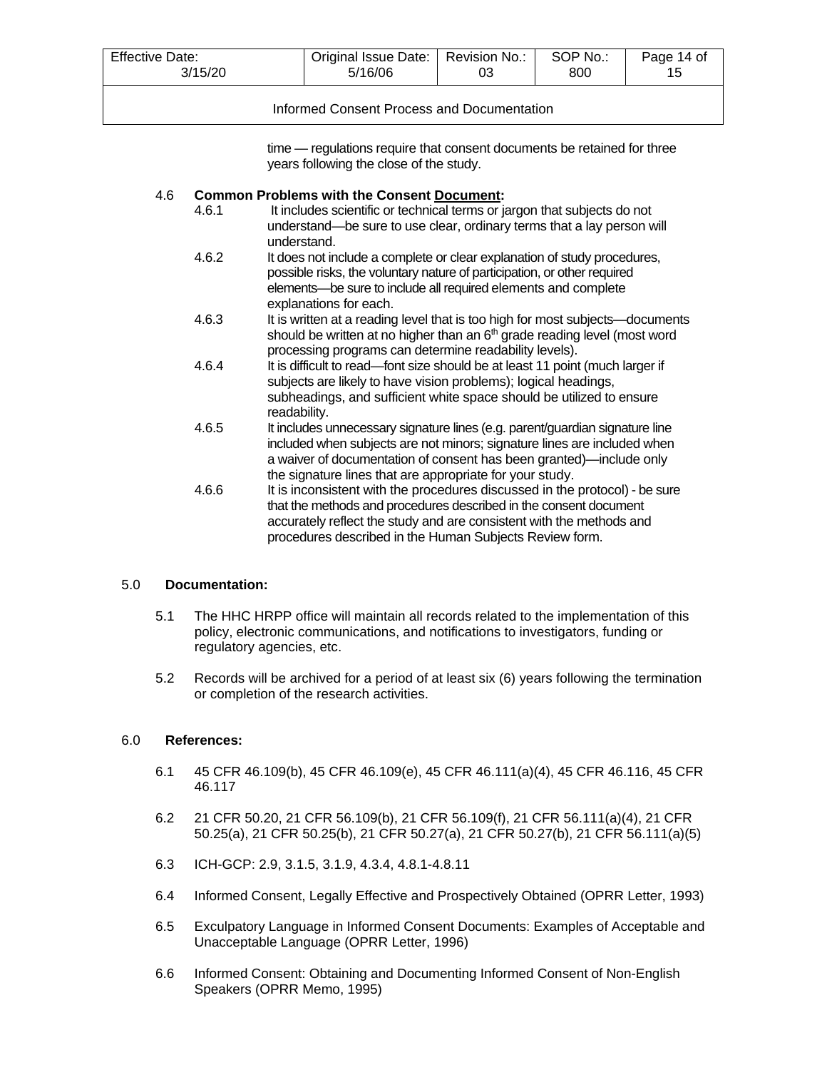| Effective Date:                            | Original Issue Date:   Revision No.: | 03 | SOP No.: | Page 14 of |  |
|--------------------------------------------|--------------------------------------|----|----------|------------|--|
| 3/15/20                                    | 5/16/06                              |    | 800      | 15         |  |
| Informed Consent Process and Documentation |                                      |    |          |            |  |

time — regulations require that consent documents be retained for three years following the close of the study.

#### 4.6 **Common Problems with the Consent Document:**

- 4.6.1 It includes scientific or technical terms or jargon that subjects do not understand—be sure to use clear, ordinary terms that a lay person will understand.
- 4.6.2 It does not include a complete or clear explanation of study procedures, possible risks, the voluntary nature of participation, or other required elements—be sure to include all required elements and complete explanations for each.
- 4.6.3 It is written at a reading level that is too high for most subjects—documents should be written at no higher than an  $6<sup>th</sup>$  grade reading level (most word processing programs can determine readability levels).
- 4.6.4 It is difficult to read—font size should be at least 11 point (much larger if subjects are likely to have vision problems); logical headings, subheadings, and sufficient white space should be utilized to ensure readability.
- 4.6.5 It includes unnecessary signature lines (e.g. parent/guardian signature line included when subjects are not minors; signature lines are included when a waiver of documentation of consent has been granted)—include only the signature lines that are appropriate for your study.
- 4.6.6 It is inconsistent with the procedures discussed in the protocol) be sure that the methods and procedures described in the consent document accurately reflect the study and are consistent with the methods and procedures described in the Human Subjects Review form.

# 5.0 **Documentation:**

- 5.1 The HHC HRPP office will maintain all records related to the implementation of this policy, electronic communications, and notifications to investigators, funding or regulatory agencies, etc.
- 5.2 Records will be archived for a period of at least six (6) years following the termination or completion of the research activities.

# 6.0 **References:**

- 6.1 45 CFR 46.109(b), 45 CFR 46.109(e), 45 CFR 46.111(a)(4), 45 CFR 46.116, 45 CFR 46.117
- 6.2 21 CFR 50.20, 21 CFR 56.109(b), 21 CFR 56.109(f), 21 CFR 56.111(a)(4), 21 CFR 50.25(a), 21 CFR 50.25(b), 21 CFR 50.27(a), 21 CFR 50.27(b), 21 CFR 56.111(a)(5)
- 6.3 ICH-GCP: 2.9, 3.1.5, 3.1.9, 4.3.4, 4.8.1-4.8.11
- 6.4 Informed Consent, Legally Effective and Prospectively Obtained (OPRR Letter, 1993)
- 6.5 Exculpatory Language in Informed Consent Documents: Examples of Acceptable and Unacceptable Language (OPRR Letter, 1996)
- 6.6 Informed Consent: Obtaining and Documenting Informed Consent of Non-English Speakers (OPRR Memo, 1995)